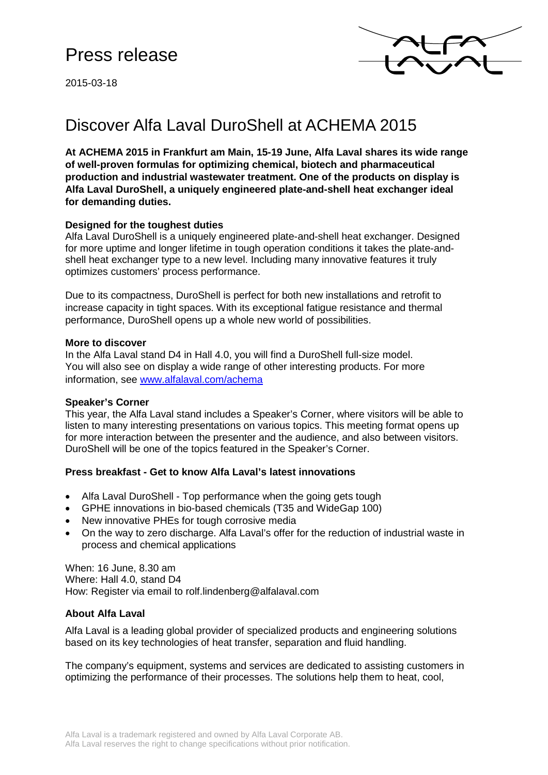2015-03-18



# Discover Alfa Laval DuroShell at ACHEMA 2015

**At ACHEMA 2015 in Frankfurt am Main, 15-19 June, Alfa Laval shares its wide range of well-proven formulas for optimizing chemical, biotech and pharmaceutical production and industrial wastewater treatment. One of the products on display is Alfa Laval DuroShell, a uniquely engineered plate-and-shell heat exchanger ideal for demanding duties.**

### **Designed for the toughest duties**

Alfa Laval DuroShell is a uniquely engineered plate-and-shell heat exchanger. Designed for more uptime and longer lifetime in tough operation conditions it takes the plate-andshell heat exchanger type to a new level. Including many innovative features it truly optimizes customers' process performance.

Due to its compactness, DuroShell is perfect for both new installations and retrofit to increase capacity in tight spaces. With its exceptional fatigue resistance and thermal performance, DuroShell opens up a whole new world of possibilities.

#### **More to discover**

In the Alfa Laval stand D4 in Hall 4.0, you will find a DuroShell full-size model. You will also see on display a wide range of other interesting products. For more information, see [www.alfalaval.com/achema](http://www.alfalaval.com/achema)

#### **Speaker's Corner**

This year, the Alfa Laval stand includes a Speaker's Corner, where visitors will be able to listen to many interesting presentations on various topics. This meeting format opens up for more interaction between the presenter and the audience, and also between visitors. DuroShell will be one of the topics featured in the Speaker's Corner.

#### **Press breakfast - Get to know Alfa Laval's latest innovations**

- Alfa Laval DuroShell Top performance when the going gets tough
- GPHE innovations in bio-based chemicals (T35 and WideGap 100)
- New innovative PHEs for tough corrosive media
- On the way to zero discharge. Alfa Laval's offer for the reduction of industrial waste in process and chemical applications

When: 16 June, 8.30 am Where: Hall 4.0, stand D4 How: Register via email to rolf.lindenberg@alfalaval.com

## **About Alfa Laval**

Alfa Laval is a leading global provider of specialized products and engineering solutions based on its key technologies of heat transfer, separation and fluid handling.

The company's equipment, systems and services are dedicated to assisting customers in optimizing the performance of their processes. The solutions help them to heat, cool,